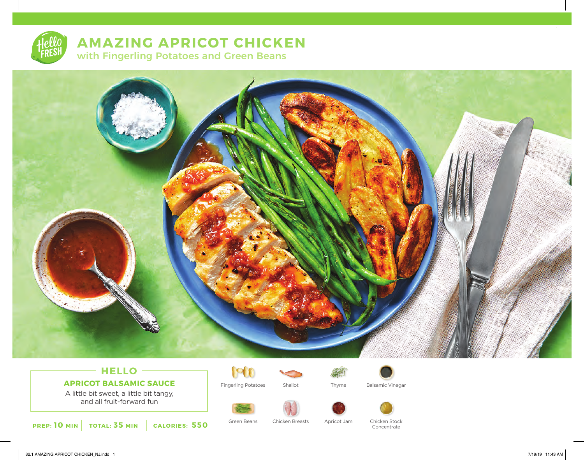# **AMAZING APRICOT CHICKEN**

with Fingerling Potatoes and Green Beans



# **HELLO APRICOT BALSAMIC SAUCE**

A little bit sweet, a little bit tangy, and all fruit-forward fun

**PREP: 10 MIN TOTAL: 35 MIN CALORIES: 550**



Fingerling Potatoes Shallot Thyme Balsamic Vinegar









Green Beans Chicken Stock Chicken Breasts Apricot Jam Concentrate

1